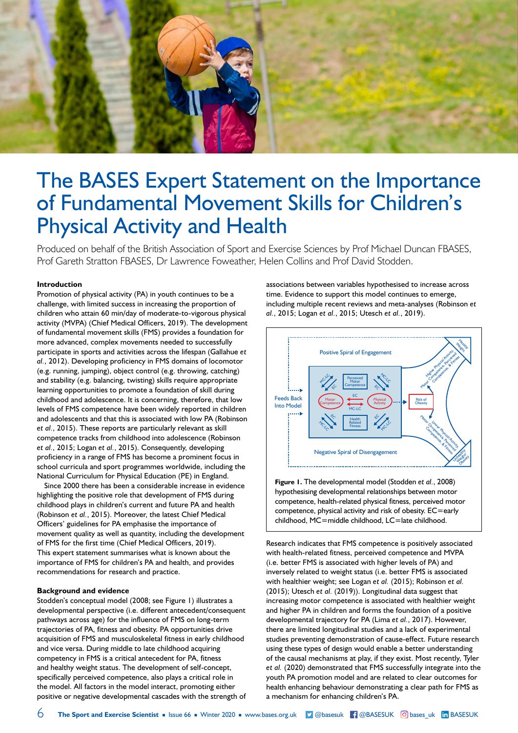

# The BASES Expert Statement on the Importance of Fundamental Movement Skills for Children's Physical Activity and Health

Produced on behalf of the British Association of Sport and Exercise Sciences by Prof Michael Duncan FBASES, Prof Gareth Stratton FBASES, Dr Lawrence Foweather, Helen Collins and Prof David Stodden.

## **Introduction**

Promotion of physical activity (PA) in youth continues to be a challenge, with limited success in increasing the proportion of children who attain 60 min/day of moderate-to-vigorous physical activity (MVPA) (Chief Medical Officers, 2019). The development of fundamental movement skills (FMS) provides a foundation for more advanced, complex movements needed to successfully participate in sports and activities across the lifespan (Gallahue *et al.*, 2012). Developing proficiency in FMS domains of locomotor (e.g. running, jumping), object control (e.g. throwing, catching) and stability (e.g. balancing, twisting) skills require appropriate learning opportunities to promote a foundation of skill during childhood and adolescence. It is concerning, therefore, that low levels of FMS competence have been widely reported in children and adolescents and that this is associated with low PA (Robinson *et al.*, 2015). These reports are particularly relevant as skill competence tracks from childhood into adolescence (Robinson *et al.*, 2015; Logan *et al.*, 2015). Consequently, developing proficiency in a range of FMS has become a prominent focus in school curricula and sport programmes worldwide, including the National Curriculum for Physical Education (PE) in England.

Since 2000 there has been a considerable increase in evidence highlighting the positive role that development of FMS during childhood plays in children's current and future PA and health (Robinson *et al.*, 2015). Moreover, the latest Chief Medical Officers' guidelines for PA emphasise the importance of movement quality as well as quantity, including the development of FMS for the first time (Chief Medical Officers, 2019). This expert statement summarises what is known about the importance of FMS for children's PA and health, and provides recommendations for research and practice.

## **Background and evidence**

Stodden's conceptual model (2008; see Figure 1) illustrates a developmental perspective (i.e. different antecedent/consequent pathways across age) for the influence of FMS on long-term trajectories of PA, fitness and obesity. PA opportunities drive acquisition of FMS and musculoskeletal fitness in early childhood and vice versa. During middle to late childhood acquiring competency in FMS is a critical antecedent for PA, fitness and healthy weight status. The development of self-concept, specifically perceived competence, also plays a critical role in the model. All factors in the model interact, promoting either positive or negative developmental cascades with the strength of associations between variables hypothesised to increase across time. Evidence to support this model continues to emerge, including multiple recent reviews and meta-analyses (Robinson *et al.*, 2015; Logan *et al.*, 2015; Utesch *et al.*, 2019).



**Figure 1.** The developmental model (Stodden *et al.*, 2008) hypothesising developmental relationships between motor competence, health-related physical fitness, perceived motor competence, physical activity and risk of obesity. EC=early childhood, MC=middle childhood, LC=late childhood.

Research indicates that FMS competence is positively associated with health-related fitness, perceived competence and MVPA (i.e. better FMS is associated with higher levels of PA) and inversely related to weight status (i.e. better FMS is associated with healthier weight; see Logan *et al.* (2015); Robinson *et al.* (2015); Utesch *et al.* (2019)). Longitudinal data suggest that increasing motor competence is associated with healthier weight and higher PA in children and forms the foundation of a positive developmental trajectory for PA (Lima *et al.*, 2017). However, there are limited longitudinal studies and a lack of experimental studies preventing demonstration of cause-effect. Future research using these types of design would enable a better understanding of the causal mechanisms at play, if they exist. Most recently, Tyler *et al.* (2020) demonstrated that FMS successfully integrate into the youth PA promotion model and are related to clear outcomes for health enhancing behaviour demonstrating a clear path for FMS as a mechanism for enhancing children's PA.